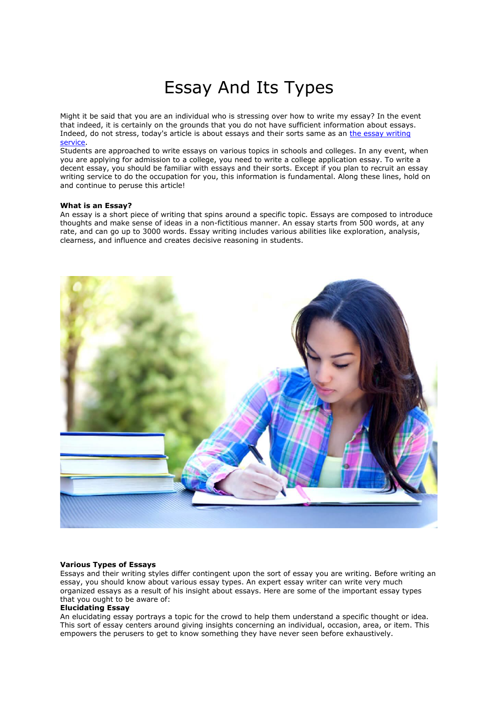# Essay And Its Types

Might it be said that you are an individual who is stressing over how to write my essay? In the event that indeed, it is certainly on the grounds that you do not have sufficient information about essays. Indeed, do not stress, today's article is about essays and their sorts same as an [the essay writing](https://theessaywritingservice.com/)  [service.](https://theessaywritingservice.com/)

Students are approached to write essays on various topics in schools and colleges. In any event, when you are applying for admission to a college, you need to write a college application essay. To write a decent essay, you should be familiar with essays and their sorts. Except if you plan to recruit an essay writing service to do the occupation for you, this information is fundamental. Along these lines, hold on and continue to peruse this article!

## **What is an Essay?**

An essay is a short piece of writing that spins around a specific topic. Essays are composed to introduce thoughts and make sense of ideas in a non-fictitious manner. An essay starts from 500 words, at any rate, and can go up to 3000 words. Essay writing includes various abilities like exploration, analysis, clearness, and influence and creates decisive reasoning in students.



# **Various Types of Essays**

Essays and their writing styles differ contingent upon the sort of essay you are writing. Before writing an essay, you should know about various essay types. An expert essay writer can write very much organized essays as a result of his insight about essays. Here are some of the important essay types that you ought to be aware of:

## **Elucidating Essay**

An elucidating essay portrays a topic for the crowd to help them understand a specific thought or idea. This sort of essay centers around giving insights concerning an individual, occasion, area, or item. This empowers the perusers to get to know something they have never seen before exhaustively.